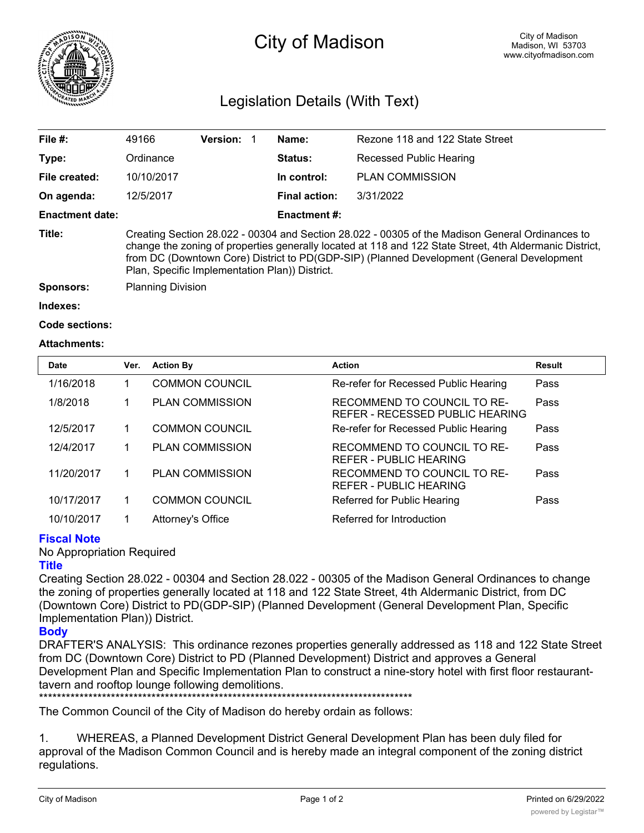

# City of Madison

## Legislation Details (With Text)

| File #:                | 49166                                                                                                                                                                                                                                                                                                                                                     | <b>Version:</b> |  | Name:               | Rezone 118 and 122 State Street |  |
|------------------------|-----------------------------------------------------------------------------------------------------------------------------------------------------------------------------------------------------------------------------------------------------------------------------------------------------------------------------------------------------------|-----------------|--|---------------------|---------------------------------|--|
| Type:                  | Ordinance                                                                                                                                                                                                                                                                                                                                                 |                 |  | <b>Status:</b>      | Recessed Public Hearing         |  |
| File created:          | 10/10/2017                                                                                                                                                                                                                                                                                                                                                |                 |  | In control:         | <b>PLAN COMMISSION</b>          |  |
| On agenda:             | 12/5/2017                                                                                                                                                                                                                                                                                                                                                 |                 |  | Final action:       | 3/31/2022                       |  |
| <b>Enactment date:</b> |                                                                                                                                                                                                                                                                                                                                                           |                 |  | <b>Enactment #:</b> |                                 |  |
| Title:                 | Creating Section 28.022 - 00304 and Section 28.022 - 00305 of the Madison General Ordinances to<br>change the zoning of properties generally located at 118 and 122 State Street, 4th Aldermanic District,<br>from DC (Downtown Core) District to PD(GDP-SIP) (Planned Development (General Development<br>Plan, Specific Implementation Plan)) District. |                 |  |                     |                                 |  |
| Sponsors:              | <b>Planning Division</b>                                                                                                                                                                                                                                                                                                                                  |                 |  |                     |                                 |  |
| Indexes:               |                                                                                                                                                                                                                                                                                                                                                           |                 |  |                     |                                 |  |
| <b>Code sections:</b>  |                                                                                                                                                                                                                                                                                                                                                           |                 |  |                     |                                 |  |

#### **Attachments:**

| <b>Date</b> | Ver. | <b>Action By</b>       | <b>Action</b>                                                  | Result |
|-------------|------|------------------------|----------------------------------------------------------------|--------|
| 1/16/2018   |      | <b>COMMON COUNCIL</b>  | Re-refer for Recessed Public Hearing                           | Pass   |
| 1/8/2018    |      | <b>PLAN COMMISSION</b> | RECOMMEND TO COUNCIL TO RE-<br>REFER - RECESSED PUBLIC HEARING | Pass   |
| 12/5/2017   |      | <b>COMMON COUNCIL</b>  | Re-refer for Recessed Public Hearing                           | Pass   |
| 12/4/2017   |      | <b>PLAN COMMISSION</b> | RECOMMEND TO COUNCIL TO RE-<br>REFER - PUBLIC HEARING          | Pass   |
| 11/20/2017  |      | <b>PLAN COMMISSION</b> | RECOMMEND TO COUNCIL TO RE-<br>REFER - PUBLIC HEARING          | Pass   |
| 10/17/2017  |      | <b>COMMON COUNCIL</b>  | Referred for Public Hearing                                    | Pass   |
| 10/10/2017  |      | Attorney's Office      | Referred for Introduction                                      |        |

### **Fiscal Note**

No Appropriation Required

### **Title**

Creating Section 28.022 - 00304 and Section 28.022 - 00305 of the Madison General Ordinances to change the zoning of properties generally located at 118 and 122 State Street, 4th Aldermanic District, from DC (Downtown Core) District to PD(GDP-SIP) (Planned Development (General Development Plan, Specific Implementation Plan)) District.

### **Body**

DRAFTER'S ANALYSIS: This ordinance rezones properties generally addressed as 118 and 122 State Street from DC (Downtown Core) District to PD (Planned Development) District and approves a General Development Plan and Specific Implementation Plan to construct a nine-story hotel with first floor restauranttavern and rooftop lounge following demolitions.

\*\*\*\*\*\*\*\*\*\*\*\*\*\*\*\*\*\*\*\*\*\*\*\*\*\*\*\*\*\*\*\*\*\*\*\*\*\*\*\*\*\*\*\*\*\*\*\*\*\*\*\*\*\*\*\*\*\*\*\*\*\*\*\*\*\*\*\*\*\*\*\*\*\*\*\*\*\*\*\*\*\*\*

The Common Council of the City of Madison do hereby ordain as follows:

1. WHEREAS, a Planned Development District General Development Plan has been duly filed for approval of the Madison Common Council and is hereby made an integral component of the zoning district regulations.